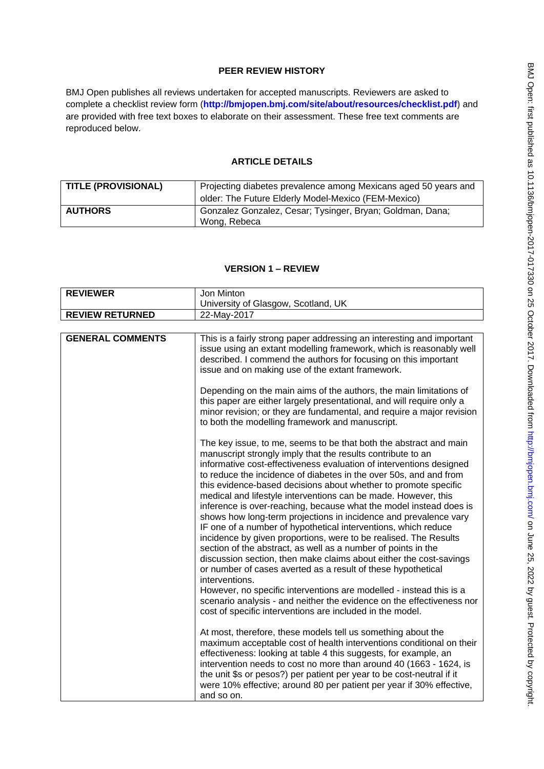# **PEER REVIEW HISTORY**

BMJ Open publishes all reviews undertaken for accepted manuscripts. Reviewers are asked to complete a checklist review form (**[http://bmjopen.bmj.com/site/about/resources/checklist.pdf\)](http://bmjopen.bmj.com/site/about/resources/checklist.pdf)** and are provided with free text boxes to elaborate on their assessment. These free text comments are reproduced below.

## **ARTICLE DETAILS**

| <b>TITLE (PROVISIONAL)</b> | Projecting diabetes prevalence among Mexicans aged 50 years and<br>older: The Future Elderly Model-Mexico (FEM-Mexico) |
|----------------------------|------------------------------------------------------------------------------------------------------------------------|
| <b>AUTHORS</b>             | Gonzalez Gonzalez, Cesar; Tysinger, Bryan; Goldman, Dana;<br>Wong, Rebeca                                              |

## **VERSION 1 – REVIEW**

| <b>REVIEWER</b>         | Jon Minton                                                                                                                                                                                                                                                                                                                                                                                                                                                                                                                                                                                                                                                                                                                                                                                                                                                                                                                                                                                                                                                                                                                              |
|-------------------------|-----------------------------------------------------------------------------------------------------------------------------------------------------------------------------------------------------------------------------------------------------------------------------------------------------------------------------------------------------------------------------------------------------------------------------------------------------------------------------------------------------------------------------------------------------------------------------------------------------------------------------------------------------------------------------------------------------------------------------------------------------------------------------------------------------------------------------------------------------------------------------------------------------------------------------------------------------------------------------------------------------------------------------------------------------------------------------------------------------------------------------------------|
|                         | University of Glasgow, Scotland, UK                                                                                                                                                                                                                                                                                                                                                                                                                                                                                                                                                                                                                                                                                                                                                                                                                                                                                                                                                                                                                                                                                                     |
| <b>REVIEW RETURNED</b>  | 22-May-2017                                                                                                                                                                                                                                                                                                                                                                                                                                                                                                                                                                                                                                                                                                                                                                                                                                                                                                                                                                                                                                                                                                                             |
|                         |                                                                                                                                                                                                                                                                                                                                                                                                                                                                                                                                                                                                                                                                                                                                                                                                                                                                                                                                                                                                                                                                                                                                         |
| <b>GENERAL COMMENTS</b> | This is a fairly strong paper addressing an interesting and important<br>issue using an extant modelling framework, which is reasonably well<br>described. I commend the authors for focusing on this important<br>issue and on making use of the extant framework.<br>Depending on the main aims of the authors, the main limitations of<br>this paper are either largely presentational, and will require only a                                                                                                                                                                                                                                                                                                                                                                                                                                                                                                                                                                                                                                                                                                                      |
|                         | minor revision; or they are fundamental, and require a major revision<br>to both the modelling framework and manuscript.                                                                                                                                                                                                                                                                                                                                                                                                                                                                                                                                                                                                                                                                                                                                                                                                                                                                                                                                                                                                                |
|                         | The key issue, to me, seems to be that both the abstract and main<br>manuscript strongly imply that the results contribute to an<br>informative cost-effectiveness evaluation of interventions designed<br>to reduce the incidence of diabetes in the over 50s, and and from<br>this evidence-based decisions about whether to promote specific<br>medical and lifestyle interventions can be made. However, this<br>inference is over-reaching, because what the model instead does is<br>shows how long-term projections in incidence and prevalence vary<br>IF one of a number of hypothetical interventions, which reduce<br>incidence by given proportions, were to be realised. The Results<br>section of the abstract, as well as a number of points in the<br>discussion section, then make claims about either the cost-savings<br>or number of cases averted as a result of these hypothetical<br>interventions.<br>However, no specific interventions are modelled - instead this is a<br>scenario analysis - and neither the evidence on the effectiveness nor<br>cost of specific interventions are included in the model. |
|                         | At most, therefore, these models tell us something about the<br>maximum acceptable cost of health interventions conditional on their<br>effectiveness: looking at table 4 this suggests, for example, an<br>intervention needs to cost no more than around 40 (1663 - 1624, is<br>the unit \$s or pesos?) per patient per year to be cost-neutral if it<br>were 10% effective; around 80 per patient per year if 30% effective,<br>and so on.                                                                                                                                                                                                                                                                                                                                                                                                                                                                                                                                                                                                                                                                                           |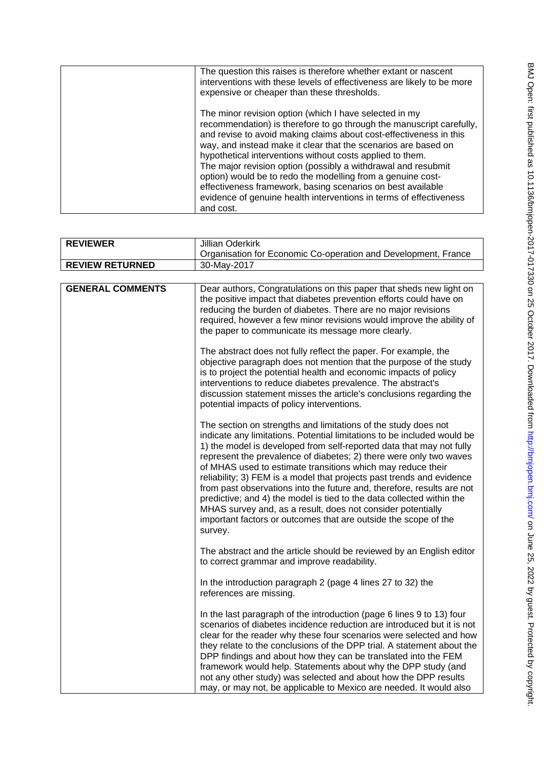| The question this raises is therefore whether extant or nascent<br>interventions with these levels of effectiveness are likely to be more<br>expensive or cheaper than these thresholds.                                                                                                                                                                                                                                                                                                                                                                                                                              |
|-----------------------------------------------------------------------------------------------------------------------------------------------------------------------------------------------------------------------------------------------------------------------------------------------------------------------------------------------------------------------------------------------------------------------------------------------------------------------------------------------------------------------------------------------------------------------------------------------------------------------|
| The minor revision option (which I have selected in my<br>recommendation) is therefore to go through the manuscript carefully,<br>and revise to avoid making claims about cost-effectiveness in this<br>way, and instead make it clear that the scenarios are based on<br>hypothetical interventions without costs applied to them.<br>The major revision option (possibly a withdrawal and resubmit<br>option) would be to redo the modelling from a genuine cost-<br>effectiveness framework, basing scenarios on best available<br>evidence of genuine health interventions in terms of effectiveness<br>and cost. |

| <b>REVIEWER</b>         | <b>Jillian Oderkirk</b>                                                                                                                                                                                                                                                                                                                                                                                                                                                                                                                                                                                                                                                                                                         |
|-------------------------|---------------------------------------------------------------------------------------------------------------------------------------------------------------------------------------------------------------------------------------------------------------------------------------------------------------------------------------------------------------------------------------------------------------------------------------------------------------------------------------------------------------------------------------------------------------------------------------------------------------------------------------------------------------------------------------------------------------------------------|
|                         | Organisation for Economic Co-operation and Development, France                                                                                                                                                                                                                                                                                                                                                                                                                                                                                                                                                                                                                                                                  |
| <b>REVIEW RETURNED</b>  | 30-May-2017                                                                                                                                                                                                                                                                                                                                                                                                                                                                                                                                                                                                                                                                                                                     |
|                         |                                                                                                                                                                                                                                                                                                                                                                                                                                                                                                                                                                                                                                                                                                                                 |
| <b>GENERAL COMMENTS</b> | Dear authors, Congratulations on this paper that sheds new light on<br>the positive impact that diabetes prevention efforts could have on<br>reducing the burden of diabetes. There are no major revisions<br>required, however a few minor revisions would improve the ability of<br>the paper to communicate its message more clearly.                                                                                                                                                                                                                                                                                                                                                                                        |
|                         | The abstract does not fully reflect the paper. For example, the<br>objective paragraph does not mention that the purpose of the study<br>is to project the potential health and economic impacts of policy<br>interventions to reduce diabetes prevalence. The abstract's<br>discussion statement misses the article's conclusions regarding the<br>potential impacts of policy interventions.                                                                                                                                                                                                                                                                                                                                  |
|                         | The section on strengths and limitations of the study does not<br>indicate any limitations. Potential limitations to be included would be<br>1) the model is developed from self-reported data that may not fully<br>represent the prevalence of diabetes; 2) there were only two waves<br>of MHAS used to estimate transitions which may reduce their<br>reliability; 3) FEM is a model that projects past trends and evidence<br>from past observations into the future and, therefore, results are not<br>predictive; and 4) the model is tied to the data collected within the<br>MHAS survey and, as a result, does not consider potentially<br>important factors or outcomes that are outside the scope of the<br>survey. |
|                         | The abstract and the article should be reviewed by an English editor<br>to correct grammar and improve readability.                                                                                                                                                                                                                                                                                                                                                                                                                                                                                                                                                                                                             |
|                         | In the introduction paragraph 2 (page 4 lines 27 to 32) the<br>references are missing.                                                                                                                                                                                                                                                                                                                                                                                                                                                                                                                                                                                                                                          |
|                         | In the last paragraph of the introduction (page 6 lines 9 to 13) four<br>scenarios of diabetes incidence reduction are introduced but it is not<br>clear for the reader why these four scenarios were selected and how<br>they relate to the conclusions of the DPP trial. A statement about the<br>DPP findings and about how they can be translated into the FEM<br>framework would help. Statements about why the DPP study (and<br>not any other study) was selected and about how the DPP results<br>may, or may not, be applicable to Mexico are needed. It would also                                                                                                                                                    |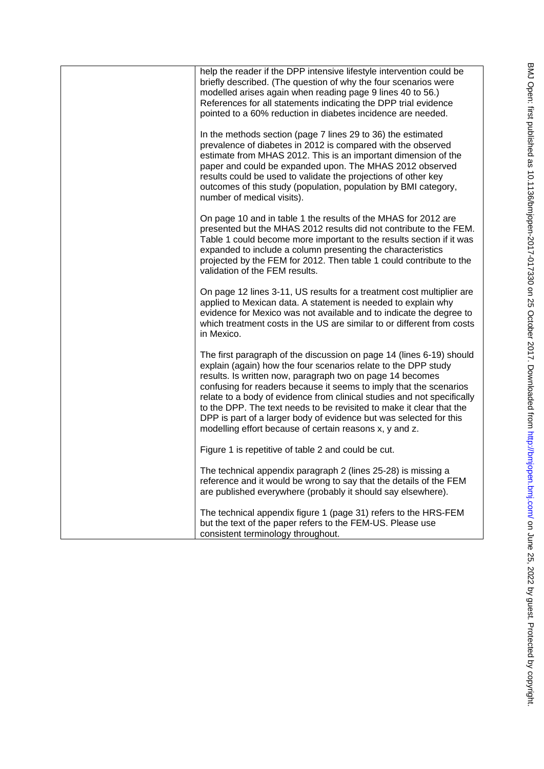| help the reader if the DPP intensive lifestyle intervention could be<br>briefly described. (The question of why the four scenarios were<br>modelled arises again when reading page 9 lines 40 to 56.)<br>References for all statements indicating the DPP trial evidence<br>pointed to a 60% reduction in diabetes incidence are needed.                                                                                                                                                                                                                      |
|---------------------------------------------------------------------------------------------------------------------------------------------------------------------------------------------------------------------------------------------------------------------------------------------------------------------------------------------------------------------------------------------------------------------------------------------------------------------------------------------------------------------------------------------------------------|
| In the methods section (page 7 lines 29 to 36) the estimated<br>prevalence of diabetes in 2012 is compared with the observed<br>estimate from MHAS 2012. This is an important dimension of the<br>paper and could be expanded upon. The MHAS 2012 observed<br>results could be used to validate the projections of other key<br>outcomes of this study (population, population by BMI category,<br>number of medical visits).                                                                                                                                 |
| On page 10 and in table 1 the results of the MHAS for 2012 are<br>presented but the MHAS 2012 results did not contribute to the FEM.<br>Table 1 could become more important to the results section if it was<br>expanded to include a column presenting the characteristics<br>projected by the FEM for 2012. Then table 1 could contribute to the<br>validation of the FEM results.                                                                                                                                                                          |
| On page 12 lines 3-11, US results for a treatment cost multiplier are<br>applied to Mexican data. A statement is needed to explain why<br>evidence for Mexico was not available and to indicate the degree to<br>which treatment costs in the US are similar to or different from costs<br>in Mexico.                                                                                                                                                                                                                                                         |
| The first paragraph of the discussion on page 14 (lines 6-19) should<br>explain (again) how the four scenarios relate to the DPP study<br>results. Is written now, paragraph two on page 14 becomes<br>confusing for readers because it seems to imply that the scenarios<br>relate to a body of evidence from clinical studies and not specifically<br>to the DPP. The text needs to be revisited to make it clear that the<br>DPP is part of a larger body of evidence but was selected for this<br>modelling effort because of certain reasons x, y and z. |
| Figure 1 is repetitive of table 2 and could be cut.                                                                                                                                                                                                                                                                                                                                                                                                                                                                                                           |
| The technical appendix paragraph 2 (lines 25-28) is missing a<br>reference and it would be wrong to say that the details of the FEM<br>are published everywhere (probably it should say elsewhere).                                                                                                                                                                                                                                                                                                                                                           |
| The technical appendix figure 1 (page 31) refers to the HRS-FEM<br>but the text of the paper refers to the FEM-US. Please use<br>consistent terminology throughout.                                                                                                                                                                                                                                                                                                                                                                                           |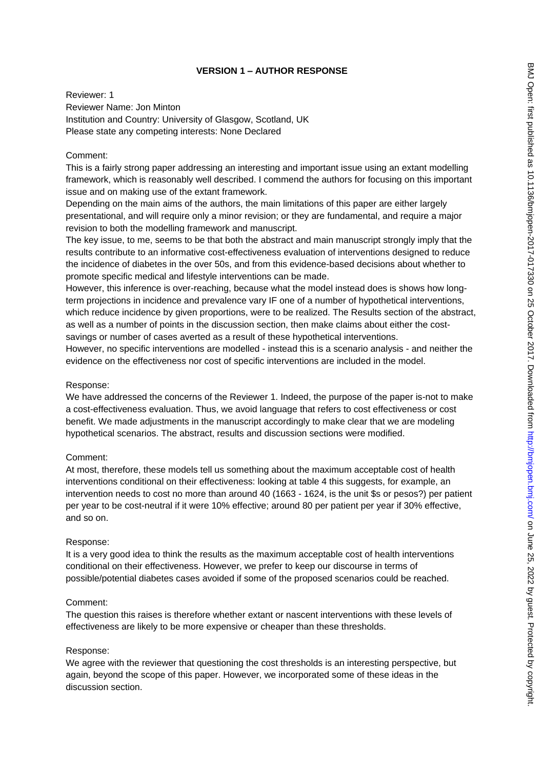## **VERSION 1 – AUTHOR RESPONSE**

Reviewer: 1 Reviewer Name: Jon Minton Institution and Country: University of Glasgow, Scotland, UK Please state any competing interests: None Declared

# Comment:

This is a fairly strong paper addressing an interesting and important issue using an extant modelling framework, which is reasonably well described. I commend the authors for focusing on this important issue and on making use of the extant framework.

Depending on the main aims of the authors, the main limitations of this paper are either largely presentational, and will require only a minor revision; or they are fundamental, and require a major revision to both the modelling framework and manuscript.

The key issue, to me, seems to be that both the abstract and main manuscript strongly imply that the results contribute to an informative cost-effectiveness evaluation of interventions designed to reduce the incidence of diabetes in the over 50s, and from this evidence-based decisions about whether to promote specific medical and lifestyle interventions can be made.

However, this inference is over-reaching, because what the model instead does is shows how longterm projections in incidence and prevalence vary IF one of a number of hypothetical interventions, which reduce incidence by given proportions, were to be realized. The Results section of the abstract, as well as a number of points in the discussion section, then make claims about either the costsavings or number of cases averted as a result of these hypothetical interventions.

However, no specific interventions are modelled - instead this is a scenario analysis - and neither the evidence on the effectiveness nor cost of specific interventions are included in the model.

### Response:

We have addressed the concerns of the Reviewer 1. Indeed, the purpose of the paper is-not to make a cost-effectiveness evaluation. Thus, we avoid language that refers to cost effectiveness or cost benefit. We made adjustments in the manuscript accordingly to make clear that we are modeling hypothetical scenarios. The abstract, results and discussion sections were modified.

### Comment:

At most, therefore, these models tell us something about the maximum acceptable cost of health interventions conditional on their effectiveness: looking at table 4 this suggests, for example, an intervention needs to cost no more than around 40 (1663 - 1624, is the unit \$s or pesos?) per patient per year to be cost-neutral if it were 10% effective; around 80 per patient per year if 30% effective, and so on.

### Response:

It is a very good idea to think the results as the maximum acceptable cost of health interventions conditional on their effectiveness. However, we prefer to keep our discourse in terms of possible/potential diabetes cases avoided if some of the proposed scenarios could be reached.

### Comment:

The question this raises is therefore whether extant or nascent interventions with these levels of effectiveness are likely to be more expensive or cheaper than these thresholds.

# Response:

We agree with the reviewer that questioning the cost thresholds is an interesting perspective, but again, beyond the scope of this paper. However, we incorporated some of these ideas in the discussion section.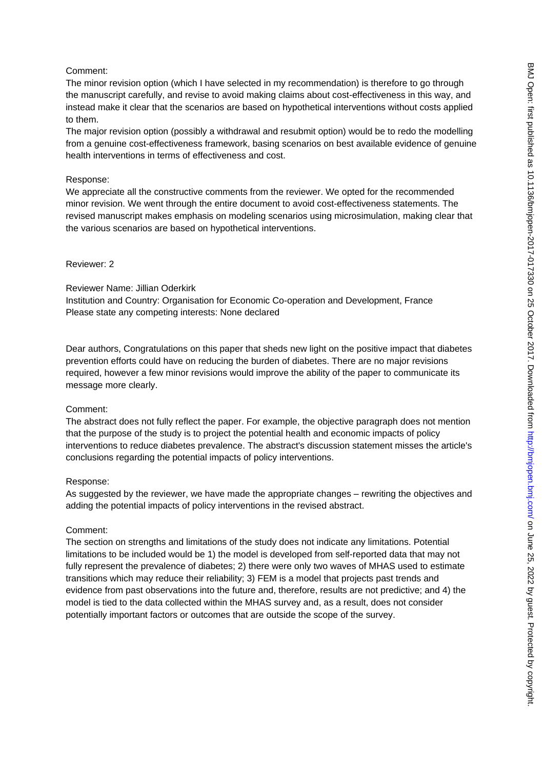### Comment:

The minor revision option (which I have selected in my recommendation) is therefore to go through the manuscript carefully, and revise to avoid making claims about cost-effectiveness in this way, and instead make it clear that the scenarios are based on hypothetical interventions without costs applied to them.

The major revision option (possibly a withdrawal and resubmit option) would be to redo the modelling from a genuine cost-effectiveness framework, basing scenarios on best available evidence of genuine health interventions in terms of effectiveness and cost.

### Response:

We appreciate all the constructive comments from the reviewer. We opted for the recommended minor revision. We went through the entire document to avoid cost-effectiveness statements. The revised manuscript makes emphasis on modeling scenarios using microsimulation, making clear that the various scenarios are based on hypothetical interventions.

## Reviewer: 2

### Reviewer Name: Jillian Oderkirk

Institution and Country: Organisation for Economic Co-operation and Development, France Please state any competing interests: None declared

Dear authors, Congratulations on this paper that sheds new light on the positive impact that diabetes prevention efforts could have on reducing the burden of diabetes. There are no major revisions required, however a few minor revisions would improve the ability of the paper to communicate its message more clearly.

### Comment:

The abstract does not fully reflect the paper. For example, the objective paragraph does not mention that the purpose of the study is to project the potential health and economic impacts of policy interventions to reduce diabetes prevalence. The abstract's discussion statement misses the article's conclusions regarding the potential impacts of policy interventions.

# Response:

As suggested by the reviewer, we have made the appropriate changes – rewriting the objectives and adding the potential impacts of policy interventions in the revised abstract.

# Comment:

The section on strengths and limitations of the study does not indicate any limitations. Potential limitations to be included would be 1) the model is developed from self-reported data that may not fully represent the prevalence of diabetes; 2) there were only two waves of MHAS used to estimate transitions which may reduce their reliability; 3) FEM is a model that projects past trends and evidence from past observations into the future and, therefore, results are not predictive; and 4) the model is tied to the data collected within the MHAS survey and, as a result, does not consider potentially important factors or outcomes that are outside the scope of the survey.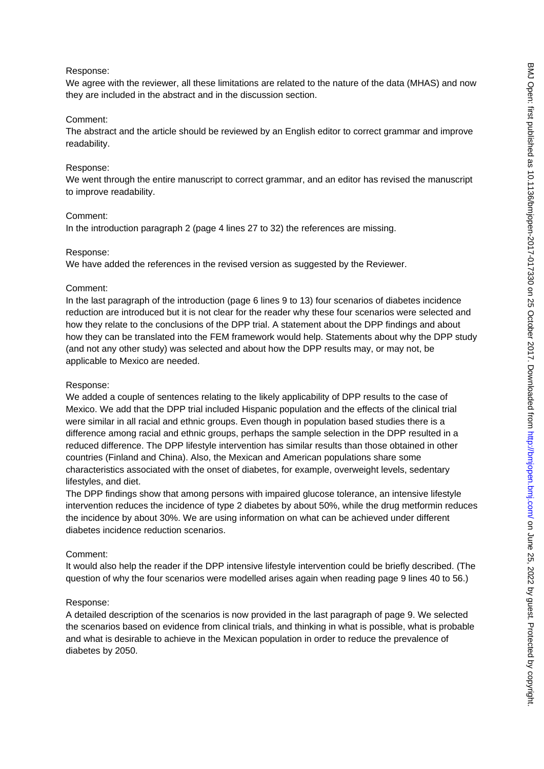#### Response:

We agree with the reviewer, all these limitations are related to the nature of the data (MHAS) and now they are included in the abstract and in the discussion section.

#### Comment:

The abstract and the article should be reviewed by an English editor to correct grammar and improve readability.

#### Response:

We went through the entire manuscript to correct grammar, and an editor has revised the manuscript to improve readability.

#### Comment:

In the introduction paragraph 2 (page 4 lines 27 to 32) the references are missing.

#### Response:

We have added the references in the revised version as suggested by the Reviewer.

#### Comment:

In the last paragraph of the introduction (page 6 lines 9 to 13) four scenarios of diabetes incidence reduction are introduced but it is not clear for the reader why these four scenarios were selected and how they relate to the conclusions of the DPP trial. A statement about the DPP findings and about how they can be translated into the FEM framework would help. Statements about why the DPP study (and not any other study) was selected and about how the DPP results may, or may not, be applicable to Mexico are needed.

#### Response:

We added a couple of sentences relating to the likely applicability of DPP results to the case of Mexico. We add that the DPP trial included Hispanic population and the effects of the clinical trial were similar in all racial and ethnic groups. Even though in population based studies there is a difference among racial and ethnic groups, perhaps the sample selection in the DPP resulted in a reduced difference. The DPP lifestyle intervention has similar results than those obtained in other countries (Finland and China). Also, the Mexican and American populations share some characteristics associated with the onset of diabetes, for example, overweight levels, sedentary lifestyles, and diet.

The DPP findings show that among persons with impaired glucose tolerance, an intensive lifestyle intervention reduces the incidence of type 2 diabetes by about 50%, while the drug metformin reduces the incidence by about 30%. We are using information on what can be achieved under different diabetes incidence reduction scenarios.

### Comment:

It would also help the reader if the DPP intensive lifestyle intervention could be briefly described. (The question of why the four scenarios were modelled arises again when reading page 9 lines 40 to 56.)

### Response:

A detailed description of the scenarios is now provided in the last paragraph of page 9. We selected the scenarios based on evidence from clinical trials, and thinking in what is possible, what is probable and what is desirable to achieve in the Mexican population in order to reduce the prevalence of diabetes by 2050.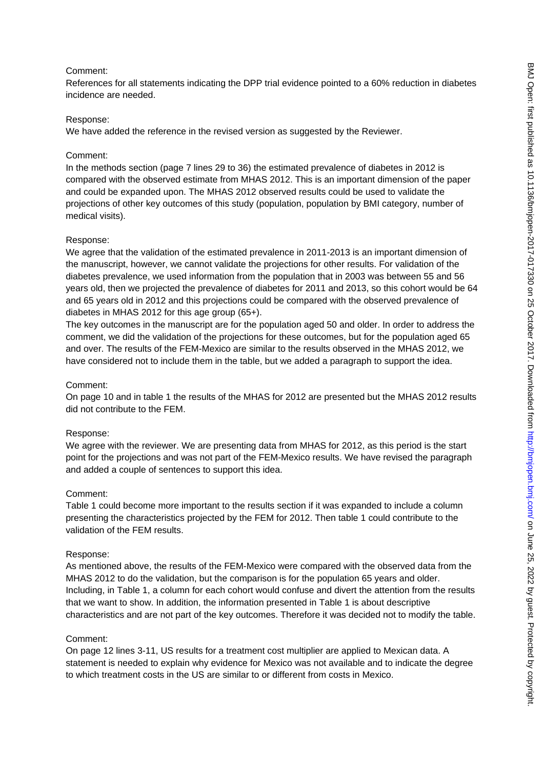### Comment:

References for all statements indicating the DPP trial evidence pointed to a 60% reduction in diabetes incidence are needed.

### Response:

We have added the reference in the revised version as suggested by the Reviewer.

## Comment:

In the methods section (page 7 lines 29 to 36) the estimated prevalence of diabetes in 2012 is compared with the observed estimate from MHAS 2012. This is an important dimension of the paper and could be expanded upon. The MHAS 2012 observed results could be used to validate the projections of other key outcomes of this study (population, population by BMI category, number of medical visits).

## Response:

We agree that the validation of the estimated prevalence in 2011-2013 is an important dimension of the manuscript, however, we cannot validate the projections for other results. For validation of the diabetes prevalence, we used information from the population that in 2003 was between 55 and 56 years old, then we projected the prevalence of diabetes for 2011 and 2013, so this cohort would be 64 and 65 years old in 2012 and this projections could be compared with the observed prevalence of diabetes in MHAS 2012 for this age group (65+).

The key outcomes in the manuscript are for the population aged 50 and older. In order to address the comment, we did the validation of the projections for these outcomes, but for the population aged 65 and over. The results of the FEM-Mexico are similar to the results observed in the MHAS 2012, we have considered not to include them in the table, but we added a paragraph to support the idea.

### Comment:

On page 10 and in table 1 the results of the MHAS for 2012 are presented but the MHAS 2012 results did not contribute to the FEM.

### Response:

We agree with the reviewer. We are presenting data from MHAS for 2012, as this period is the start point for the projections and was not part of the FEM-Mexico results. We have revised the paragraph and added a couple of sentences to support this idea.

### Comment:

Table 1 could become more important to the results section if it was expanded to include a column presenting the characteristics projected by the FEM for 2012. Then table 1 could contribute to the validation of the FEM results.

### Response:

As mentioned above, the results of the FEM-Mexico were compared with the observed data from the MHAS 2012 to do the validation, but the comparison is for the population 65 years and older. Including, in Table 1, a column for each cohort would confuse and divert the attention from the results that we want to show. In addition, the information presented in Table 1 is about descriptive characteristics and are not part of the key outcomes. Therefore it was decided not to modify the table.

### Comment:

On page 12 lines 3-11, US results for a treatment cost multiplier are applied to Mexican data. A statement is needed to explain why evidence for Mexico was not available and to indicate the degree to which treatment costs in the US are similar to or different from costs in Mexico.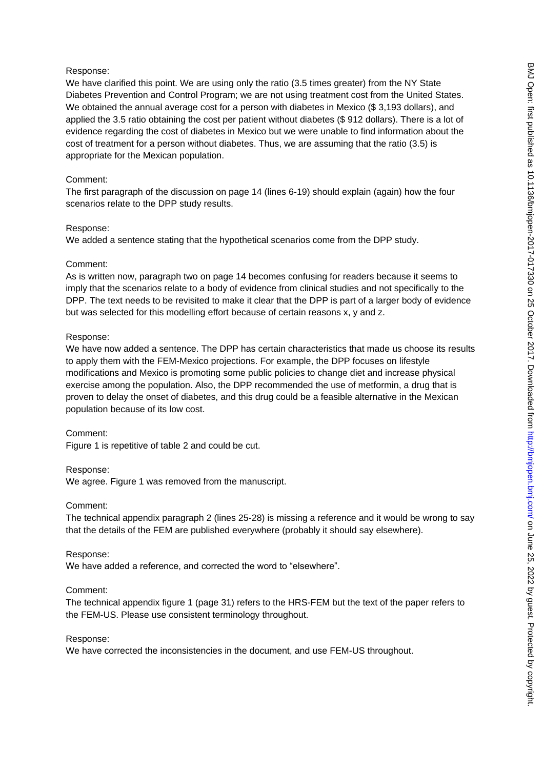### Response:

We have clarified this point. We are using only the ratio (3.5 times greater) from the NY State Diabetes Prevention and Control Program; we are not using treatment cost from the United States. We obtained the annual average cost for a person with diabetes in Mexico (\$3,193 dollars), and applied the 3.5 ratio obtaining the cost per patient without diabetes (\$ 912 dollars). There is a lot of evidence regarding the cost of diabetes in Mexico but we were unable to find information about the cost of treatment for a person without diabetes. Thus, we are assuming that the ratio (3.5) is appropriate for the Mexican population.

### Comment:

The first paragraph of the discussion on page 14 (lines 6-19) should explain (again) how the four scenarios relate to the DPP study results.

### Response:

We added a sentence stating that the hypothetical scenarios come from the DPP study.

### Comment:

As is written now, paragraph two on page 14 becomes confusing for readers because it seems to imply that the scenarios relate to a body of evidence from clinical studies and not specifically to the DPP. The text needs to be revisited to make it clear that the DPP is part of a larger body of evidence but was selected for this modelling effort because of certain reasons x, y and z.

## Response:

We have now added a sentence. The DPP has certain characteristics that made us choose its results to apply them with the FEM-Mexico projections. For example, the DPP focuses on lifestyle modifications and Mexico is promoting some public policies to change diet and increase physical exercise among the population. Also, the DPP recommended the use of metformin, a drug that is proven to delay the onset of diabetes, and this drug could be a feasible alternative in the Mexican population because of its low cost.

### Comment:

Figure 1 is repetitive of table 2 and could be cut.

### Response:

We agree. Figure 1 was removed from the manuscript.

### Comment:

The technical appendix paragraph 2 (lines 25-28) is missing a reference and it would be wrong to say that the details of the FEM are published everywhere (probably it should say elsewhere).

### Response:

We have added a reference, and corrected the word to "elsewhere".

### Comment:

The technical appendix figure 1 (page 31) refers to the HRS-FEM but the text of the paper refers to the FEM-US. Please use consistent terminology throughout.

### Response:

We have corrected the inconsistencies in the document, and use FEM-US throughout.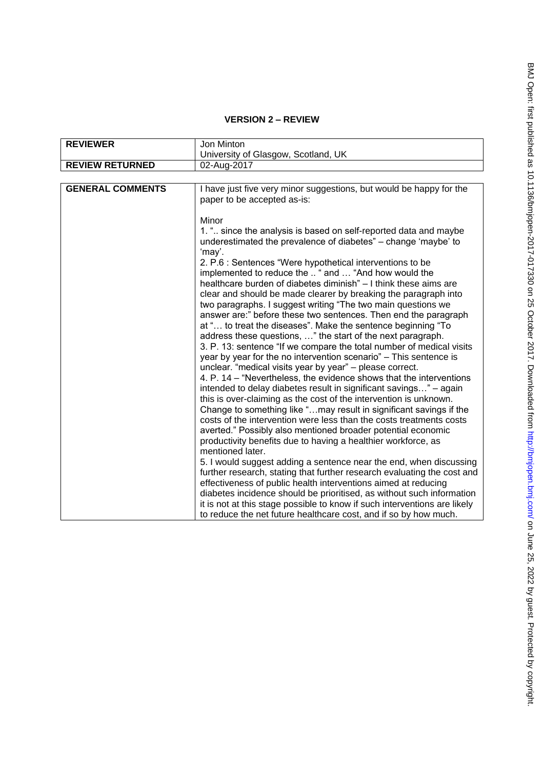# **VERSION 2 – REVIEW**

| <b>REVIEWER</b>         | Jon Minton                                                                                                                                                                                                                                                                                                                                                                                                                                                                                                                                                                                                                                                                                                                                                                                                                                                                                                                                                                                                                                                                                        |
|-------------------------|---------------------------------------------------------------------------------------------------------------------------------------------------------------------------------------------------------------------------------------------------------------------------------------------------------------------------------------------------------------------------------------------------------------------------------------------------------------------------------------------------------------------------------------------------------------------------------------------------------------------------------------------------------------------------------------------------------------------------------------------------------------------------------------------------------------------------------------------------------------------------------------------------------------------------------------------------------------------------------------------------------------------------------------------------------------------------------------------------|
|                         | University of Glasgow, Scotland, UK                                                                                                                                                                                                                                                                                                                                                                                                                                                                                                                                                                                                                                                                                                                                                                                                                                                                                                                                                                                                                                                               |
| <b>REVIEW RETURNED</b>  | 02-Aug-2017                                                                                                                                                                                                                                                                                                                                                                                                                                                                                                                                                                                                                                                                                                                                                                                                                                                                                                                                                                                                                                                                                       |
|                         |                                                                                                                                                                                                                                                                                                                                                                                                                                                                                                                                                                                                                                                                                                                                                                                                                                                                                                                                                                                                                                                                                                   |
| <b>GENERAL COMMENTS</b> | I have just five very minor suggestions, but would be happy for the<br>paper to be accepted as-is:                                                                                                                                                                                                                                                                                                                                                                                                                                                                                                                                                                                                                                                                                                                                                                                                                                                                                                                                                                                                |
|                         | Minor                                                                                                                                                                                                                                                                                                                                                                                                                                                                                                                                                                                                                                                                                                                                                                                                                                                                                                                                                                                                                                                                                             |
|                         | 1. " since the analysis is based on self-reported data and maybe<br>underestimated the prevalence of diabetes" - change 'maybe' to<br>'may'.                                                                                                                                                                                                                                                                                                                                                                                                                                                                                                                                                                                                                                                                                                                                                                                                                                                                                                                                                      |
|                         | 2. P.6 : Sentences "Were hypothetical interventions to be<br>implemented to reduce the  " and  "And how would the<br>healthcare burden of diabetes diminish" - I think these aims are<br>clear and should be made clearer by breaking the paragraph into<br>two paragraphs. I suggest writing "The two main questions we<br>answer are:" before these two sentences. Then end the paragraph<br>at " to treat the diseases". Make the sentence beginning "To<br>address these questions, " the start of the next paragraph.<br>3. P. 13: sentence "If we compare the total number of medical visits<br>year by year for the no intervention scenario" - This sentence is<br>unclear. "medical visits year by year" - please correct.<br>4. P. 14 – "Nevertheless, the evidence shows that the interventions<br>intended to delay diabetes result in significant savings" – again<br>this is over-claiming as the cost of the intervention is unknown.<br>Change to something like "may result in significant savings if the<br>costs of the intervention were less than the costs treatments costs |
|                         | averted." Possibly also mentioned broader potential economic<br>productivity benefits due to having a healthier workforce, as<br>mentioned later.<br>5. I would suggest adding a sentence near the end, when discussing<br>further research, stating that further research evaluating the cost and<br>effectiveness of public health interventions aimed at reducing<br>diabetes incidence should be prioritised, as without such information                                                                                                                                                                                                                                                                                                                                                                                                                                                                                                                                                                                                                                                     |
|                         | it is not at this stage possible to know if such interventions are likely<br>to reduce the net future healthcare cost, and if so by how much.                                                                                                                                                                                                                                                                                                                                                                                                                                                                                                                                                                                                                                                                                                                                                                                                                                                                                                                                                     |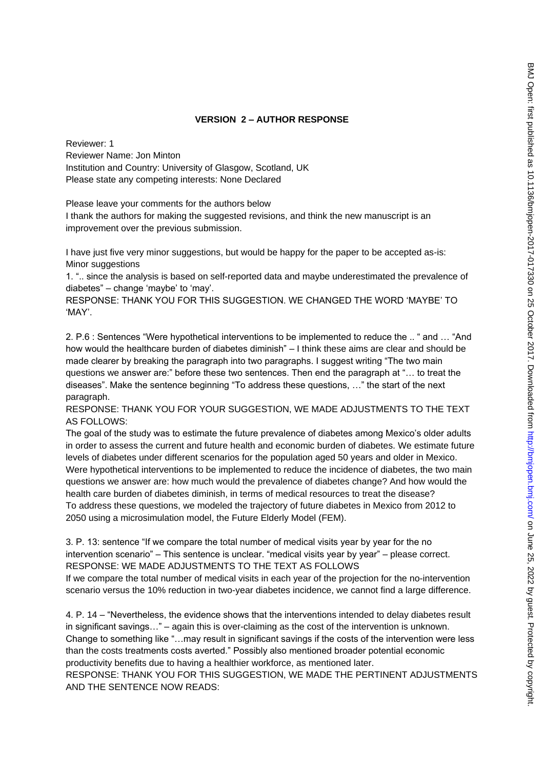# **VERSION 2 – AUTHOR RESPONSE**

Reviewer: 1 Reviewer Name: Jon Minton Institution and Country: University of Glasgow, Scotland, UK Please state any competing interests: None Declared

Please leave your comments for the authors below

I thank the authors for making the suggested revisions, and think the new manuscript is an improvement over the previous submission.

I have just five very minor suggestions, but would be happy for the paper to be accepted as-is: Minor suggestions

1. ".. since the analysis is based on self-reported data and maybe underestimated the prevalence of diabetes" – change 'maybe' to 'may'.

RESPONSE: THANK YOU FOR THIS SUGGESTION. WE CHANGED THE WORD 'MAYBE' TO 'MAY'.

2. P.6 : Sentences "Were hypothetical interventions to be implemented to reduce the .. " and … "And how would the healthcare burden of diabetes diminish" – I think these aims are clear and should be made clearer by breaking the paragraph into two paragraphs. I suggest writing "The two main questions we answer are:" before these two sentences. Then end the paragraph at "… to treat the diseases". Make the sentence beginning "To address these questions, …" the start of the next paragraph.

RESPONSE: THANK YOU FOR YOUR SUGGESTION, WE MADE ADJUSTMENTS TO THE TEXT AS FOLLOWS:

The goal of the study was to estimate the future prevalence of diabetes among Mexico's older adults in order to assess the current and future health and economic burden of diabetes. We estimate future levels of diabetes under different scenarios for the population aged 50 years and older in Mexico. Were hypothetical interventions to be implemented to reduce the incidence of diabetes, the two main questions we answer are: how much would the prevalence of diabetes change? And how would the health care burden of diabetes diminish, in terms of medical resources to treat the disease? To address these questions, we modeled the trajectory of future diabetes in Mexico from 2012 to 2050 using a microsimulation model, the Future Elderly Model (FEM).

3. P. 13: sentence "If we compare the total number of medical visits year by year for the no intervention scenario" – This sentence is unclear. "medical visits year by year" – please correct. RESPONSE: WE MADE ADJUSTMENTS TO THE TEXT AS FOLLOWS

If we compare the total number of medical visits in each year of the projection for the no-intervention scenario versus the 10% reduction in two-year diabetes incidence, we cannot find a large difference.

4. P. 14 – "Nevertheless, the evidence shows that the interventions intended to delay diabetes result in significant savings…" – again this is over-claiming as the cost of the intervention is unknown. Change to something like "…may result in significant savings if the costs of the intervention were less than the costs treatments costs averted." Possibly also mentioned broader potential economic productivity benefits due to having a healthier workforce, as mentioned later.

RESPONSE: THANK YOU FOR THIS SUGGESTION, WE MADE THE PERTINENT ADJUSTMENTS AND THE SENTENCE NOW READS: